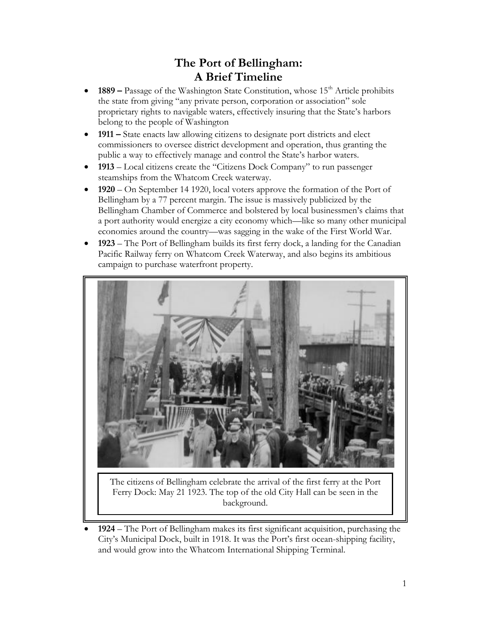## **The Port of Bellingham: A Brief Timeline**

- **1889** Passage of the Washington State Constitution, whose 15<sup>th</sup> Article prohibits the state from giving "any private person, corporation or association" sole proprietary rights to navigable waters, effectively insuring that the State's harbors belong to the people of Washington
- **1911 –** State enacts law allowing citizens to designate port districts and elect commissioners to oversee district development and operation, thus granting the public a way to effectively manage and control the State's harbor waters.
- **1913** Local citizens create the "Citizens Dock Company" to run passenger steamships from the Whatcom Creek waterway.
- **1920**  On September 14 1920, local voters approve the formation of the Port of Bellingham by a 77 percent margin. The issue is massively publicized by the Bellingham Chamber of Commerce and bolstered by local businessmen's claims that a port authority would energize a city economy which—like so many other municipal economies around the country—was sagging in the wake of the First World War.
- **1923**  The Port of Bellingham builds its first ferry dock, a landing for the Canadian Pacific Railway ferry on Whatcom Creek Waterway, and also begins its ambitious campaign to purchase waterfront property.



The citizens of Bellingham celebrate the arrival of the first ferry at the Port Ferry Dock: May 21 1923. The top of the old City Hall can be seen in the background.

 **1924** – The Port of Bellingham makes its first significant acquisition, purchasing the City's Municipal Dock, built in 1918. It was the Port's first ocean-shipping facility, and would grow into the Whatcom International Shipping Terminal.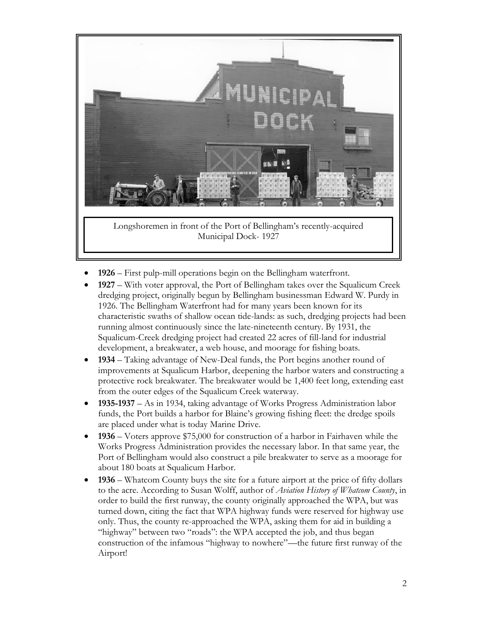

- **1926**  First pulp-mill operations begin on the Bellingham waterfront.
- **1927**  With voter approval, the Port of Bellingham takes over the Squalicum Creek dredging project, originally begun by Bellingham businessman Edward W. Purdy in 1926. The Bellingham Waterfront had for many years been known for its characteristic swaths of shallow ocean tide-lands: as such, dredging projects had been running almost continuously since the late-nineteenth century. By 1931, the Squalicum-Creek dredging project had created 22 acres of fill-land for industrial development, a breakwater, a web house, and moorage for fishing boats.
- **1934**  Taking advantage of New-Deal funds, the Port begins another round of improvements at Squalicum Harbor, deepening the harbor waters and constructing a protective rock breakwater. The breakwater would be 1,400 feet long, extending east from the outer edges of the Squalicum Creek waterway.
- **1935-1937**  As in 1934, taking advantage of Works Progress Administration labor funds, the Port builds a harbor for Blaine's growing fishing fleet: the dredge spoils are placed under what is today Marine Drive.
- **1936**  Voters approve \$75,000 for construction of a harbor in Fairhaven while the Works Progress Administration provides the necessary labor. In that same year, the Port of Bellingham would also construct a pile breakwater to serve as a moorage for about 180 boats at Squalicum Harbor.
- **1936**  Whatcom County buys the site for a future airport at the price of fifty dollars to the acre. According to Susan Wolff, author of *Aviation History of Whatcom County*, in order to build the first runway, the county originally approached the WPA, but was turned down, citing the fact that WPA highway funds were reserved for highway use only. Thus, the county re-approached the WPA, asking them for aid in building a "highway" between two "roads": the WPA accepted the job, and thus began construction of the infamous "highway to nowhere"—the future first runway of the Airport!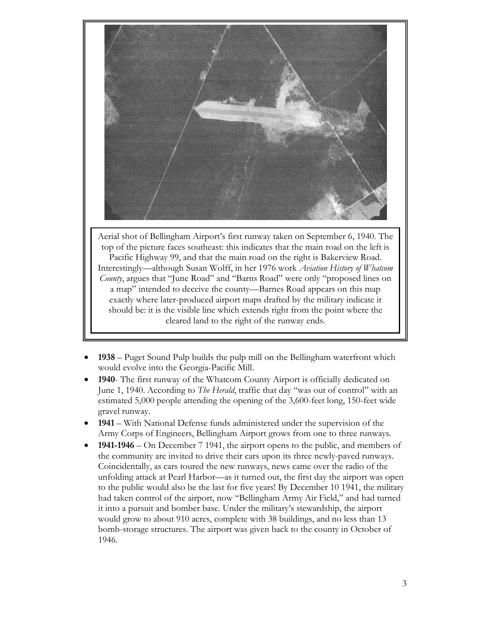

Aerial shot of Bellingham Airport's first runway taken on September 6, 1940. The top of the picture faces southeast: this indicates that the main road on the left is Pacific Highway 99, and that the main road on the right is Bakerview Road. Interestingly—although Susan Wolff, in her 1976 work *Aviation History of Whatcom County*, argues that "June Road" and "Barns Road" were only "proposed lines on a map" intended to deceive the county—Barnes Road appears on this map exactly where later-produced airport maps drafted by the military indicate it should be: it is the visible line which extends right from the point where the cleared land to the right of the runway ends.

- **1938**  Puget Sound Pulp builds the pulp mill on the Bellingham waterfront which would evolve into the Georgia-Pacific Mill.
- **1940** The first runway of the Whatcom County Airport is officially dedicated on June 1, 1940. According to *The Herald*, traffic that day "was out of control" with an estimated 5,000 people attending the opening of the 3,600-feet long, 150-feet wide gravel runway.
- **1941**  With National Defense funds administered under the supervision of the Army Corps of Engineers, Bellingham Airport grows from one to three runways.
- **1941-1946**  On December 7 1941, the airport opens to the public, and members of the community are invited to drive their cars upon its three newly-paved runways. Coincidentally, as cars toured the new runways, news came over the radio of the unfolding attack at Pearl Harbor—as it turned out, the first day the airport was open to the public would also be the last for five years! By December 10 1941, the military had taken control of the airport, now "Bellingham Army Air Field," and had turned it into a pursuit and bomber base. Under the military's stewardship, the airport would grow to about 910 acres, complete with 38 buildings, and no less than 13 bomb-storage structures. The airport was given back to the county in October of 1946.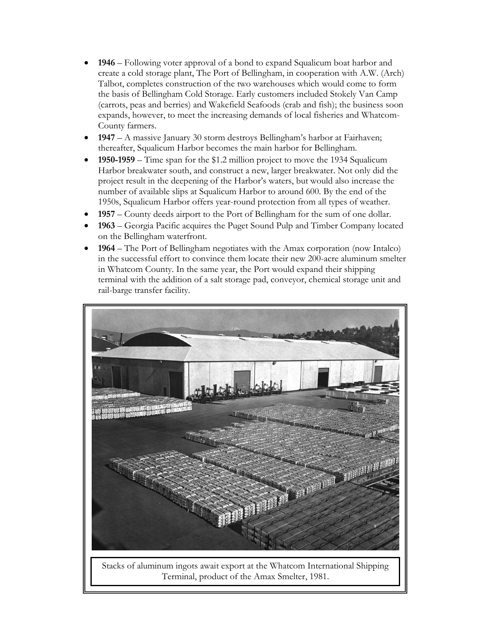- **1946**  Following voter approval of a bond to expand Squalicum boat harbor and create a cold storage plant, The Port of Bellingham, in cooperation with A.W. (Arch) Talbot, completes construction of the two warehouses which would come to form the basis of Bellingham Cold Storage. Early customers included Stokely Van Camp (carrots, peas and berries) and Wakefield Seafoods (crab and fish); the business soon expands, however, to meet the increasing demands of local fisheries and Whatcom-County farmers.
- **1947**  A massive January 30 storm destroys Bellingham's harbor at Fairhaven; thereafter, Squalicum Harbor becomes the main harbor for Bellingham.
- **1950-1959**  Time span for the \$1.2 million project to move the 1934 Squalicum Harbor breakwater south, and construct a new, larger breakwater. Not only did the project result in the deepening of the Harbor's waters, but would also increase the number of available slips at Squalicum Harbor to around 600. By the end of the 1950s, Squalicum Harbor offers year-round protection from all types of weather.
- **1957**  County deeds airport to the Port of Bellingham for the sum of one dollar.
- **1963**  Georgia Pacific acquires the Puget Sound Pulp and Timber Company located on the Bellingham waterfront.
- **1964**  The Port of Bellingham negotiates with the Amax corporation (now Intalco) in the successful effort to convince them locate their new 200-acre aluminum smelter in Whatcom County. In the same year, the Port would expand their shipping terminal with the addition of a salt storage pad, conveyor, chemical storage unit and rail-barge transfer facility.





4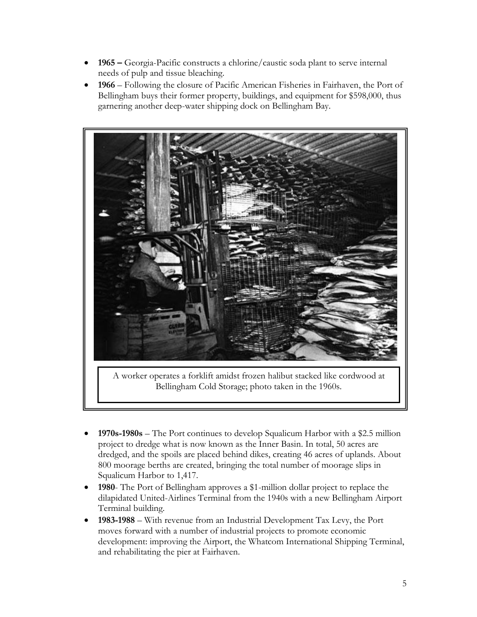- **1965 –** Georgia-Pacific constructs a chlorine/caustic soda plant to serve internal needs of pulp and tissue bleaching.
- **1966** Following the closure of Pacific American Fisheries in Fairhaven, the Port of Bellingham buys their former property, buildings, and equipment for \$598,000, thus garnering another deep-water shipping dock on Bellingham Bay.



A worker operates a forklift amidst frozen halibut stacked like cordwood at Bellingham Cold Storage; photo taken in the 1960s.

- **1970s-1980s**  The Port continues to develop Squalicum Harbor with a \$2.5 million project to dredge what is now known as the Inner Basin. In total, 50 acres are dredged, and the spoils are placed behind dikes, creating 46 acres of uplands. About 800 moorage berths are created, bringing the total number of moorage slips in Squalicum Harbor to 1,417.
- **1980** The Port of Bellingham approves a \$1-million dollar project to replace the dilapidated United-Airlines Terminal from the 1940s with a new Bellingham Airport Terminal building.
- **1983-1988**  With revenue from an Industrial Development Tax Levy, the Port moves forward with a number of industrial projects to promote economic development: improving the Airport, the Whatcom International Shipping Terminal, and rehabilitating the pier at Fairhaven.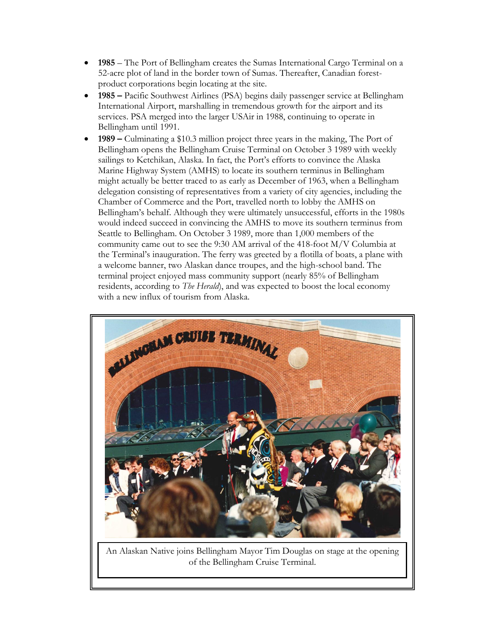- **1985**  The Port of Bellingham creates the Sumas International Cargo Terminal on a 52-acre plot of land in the border town of Sumas. Thereafter, Canadian forestproduct corporations begin locating at the site.
- **1985 –** Pacific Southwest Airlines (PSA) begins daily passenger service at Bellingham International Airport, marshalling in tremendous growth for the airport and its services. PSA merged into the larger USAir in 1988, continuing to operate in Bellingham until 1991.
- **1989 –** Culminating a \$10.3 million project three years in the making, The Port of Bellingham opens the Bellingham Cruise Terminal on October 3 1989 with weekly sailings to Ketchikan, Alaska. In fact, the Port's efforts to convince the Alaska Marine Highway System (AMHS) to locate its southern terminus in Bellingham might actually be better traced to as early as December of 1963, when a Bellingham delegation consisting of representatives from a variety of city agencies, including the Chamber of Commerce and the Port, travelled north to lobby the AMHS on Bellingham's behalf. Although they were ultimately unsuccessful, efforts in the 1980s would indeed succeed in convincing the AMHS to move its southern terminus from Seattle to Bellingham. On October 3 1989, more than 1,000 members of the community came out to see the 9:30 AM arrival of the 418-foot M/V Columbia at the Terminal's inauguration. The ferry was greeted by a flotilla of boats, a plane with a welcome banner, two Alaskan dance troupes, and the high-school band. The terminal project enjoyed mass community support (nearly 85% of Bellingham residents, according to *The Herald*), and was expected to boost the local economy with a new influx of tourism from Alaska.



An Alaskan Native joins Bellingham Mayor Tim Douglas on stage at the opening of the Bellingham Cruise Terminal.

6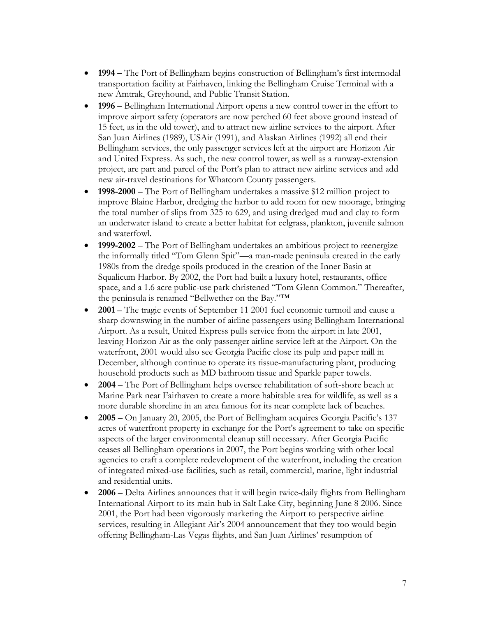- **1994 –** The Port of Bellingham begins construction of Bellingham's first intermodal transportation facility at Fairhaven, linking the Bellingham Cruise Terminal with a new Amtrak, Greyhound, and Public Transit Station.
- **1996 –** Bellingham International Airport opens a new control tower in the effort to improve airport safety (operators are now perched 60 feet above ground instead of 15 feet, as in the old tower), and to attract new airline services to the airport. After San Juan Airlines (1989), USAir (1991), and Alaskan Airlines (1992) all end their Bellingham services, the only passenger services left at the airport are Horizon Air and United Express. As such, the new control tower, as well as a runway-extension project, are part and parcel of the Port's plan to attract new airline services and add new air-travel destinations for Whatcom County passengers.
- **1998-2000**  The Port of Bellingham undertakes a massive \$12 million project to improve Blaine Harbor, dredging the harbor to add room for new moorage, bringing the total number of slips from 325 to 629, and using dredged mud and clay to form an underwater island to create a better habitat for eelgrass, plankton, juvenile salmon and waterfowl.
- **1999-2002**  The Port of Bellingham undertakes an ambitious project to reenergize the informally titled "Tom Glenn Spit"—a man-made peninsula created in the early 1980s from the dredge spoils produced in the creation of the Inner Basin at Squalicum Harbor. By 2002, the Port had built a luxury hotel, restaurants, office space, and a 1.6 acre public-use park christened "Tom Glenn Common." Thereafter, the peninsula is renamed "Bellwether on the Bay."™
- **2001** The tragic events of September 11 2001 fuel economic turmoil and cause a sharp downswing in the number of airline passengers using Bellingham International Airport. As a result, United Express pulls service from the airport in late 2001, leaving Horizon Air as the only passenger airline service left at the Airport. On the waterfront, 2001 would also see Georgia Pacific close its pulp and paper mill in December, although continue to operate its tissue-manufacturing plant, producing household products such as MD bathroom tissue and Sparkle paper towels.
- **2004**  The Port of Bellingham helps oversee rehabilitation of soft-shore beach at Marine Park near Fairhaven to create a more habitable area for wildlife, as well as a more durable shoreline in an area famous for its near complete lack of beaches.
- **2005**  On January 20, 2005, the Port of Bellingham acquires Georgia Pacific's 137 acres of waterfront property in exchange for the Port's agreement to take on specific aspects of the larger environmental cleanup still necessary. After Georgia Pacific ceases all Bellingham operations in 2007, the Port begins working with other local agencies to craft a complete redevelopment of the waterfront, including the creation of integrated mixed-use facilities, such as retail, commercial, marine, light industrial and residential units.
- **2006**  Delta Airlines announces that it will begin twice-daily flights from Bellingham International Airport to its main hub in Salt Lake City, beginning June 8 2006. Since 2001, the Port had been vigorously marketing the Airport to perspective airline services, resulting in Allegiant Air's 2004 announcement that they too would begin offering Bellingham-Las Vegas flights, and San Juan Airlines' resumption of